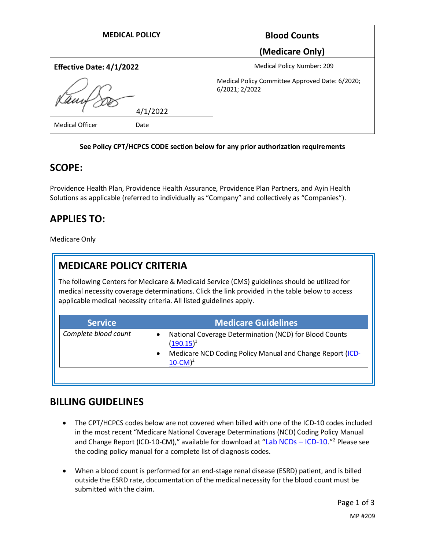| <b>MEDICAL POLICY</b>           | <b>Blood Counts</b>                                               |
|---------------------------------|-------------------------------------------------------------------|
|                                 | (Medicare Only)                                                   |
| <b>Effective Date: 4/1/2022</b> | Medical Policy Number: 209                                        |
| 4/1/2022                        | Medical Policy Committee Approved Date: 6/2020;<br>6/2021; 2/2022 |
| <b>Medical Officer</b><br>Date  |                                                                   |

#### **See Policy CPT/HCPCS CODE section below for any prior authorization requirements**

#### **SCOPE:**

Providence Health Plan, Providence Health Assurance, Providence Plan Partners, and Ayin Health Solutions as applicable (referred to individually as "Company" and collectively as "Companies").

## **APPLIES TO:**

Medicare Only

## **MEDICARE POLICY CRITERIA**

The following Centers for Medicare & Medicaid Service (CMS) guidelines should be utilized for medical necessity coverage determinations. Click the link provided in the table below to access applicable medical necessity criteria. All listed guidelines apply.

| <b>Service</b>       | <b>Medicare Guidelines</b>                                                                                                          |
|----------------------|-------------------------------------------------------------------------------------------------------------------------------------|
| Complete blood count | National Coverage Determination (NCD) for Blood Counts<br>$(190.15)^1$<br>Medicare NCD Coding Policy Manual and Change Report (ICD- |
|                      | $10$ -CM $)^2$                                                                                                                      |

## **BILLING GUIDELINES**

- The CPT/HCPCS codes below are not covered when billed with one of the ICD-10 codes included in the most recent "Medicare National Coverage Determinations (NCD) Coding Policy Manual and Change Report (ICD-10-CM)," available for download at "[Lab NCDs](https://www.cms.gov/Medicare/Coverage/CoverageGenInfo/LabNCDsICD10) – ICD-10."<sup>2</sup> Please see the coding policy manual for a complete list of diagnosis codes.
- When a blood count is performed for an end-stage renal disease (ESRD) patient, and is billed outside the ESRD rate, documentation of the medical necessity for the blood count must be submitted with the claim.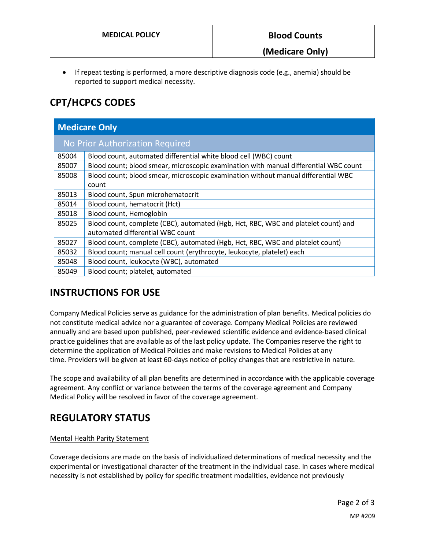• If repeat testing is performed, a more descriptive diagnosis code (e.g., anemia) should be reported to support medical necessity.

# **CPT/HCPCS CODES**

| <b>Medicare Only</b>            |                                                                                      |  |
|---------------------------------|--------------------------------------------------------------------------------------|--|
| No Prior Authorization Required |                                                                                      |  |
| 85004                           | Blood count, automated differential white blood cell (WBC) count                     |  |
| 85007                           | Blood count; blood smear, microscopic examination with manual differential WBC count |  |
| 85008                           | Blood count; blood smear, microscopic examination without manual differential WBC    |  |
|                                 | count                                                                                |  |
| 85013                           | Blood count, Spun microhematocrit                                                    |  |
| 85014                           | Blood count, hematocrit (Hct)                                                        |  |
| 85018                           | Blood count, Hemoglobin                                                              |  |
| 85025                           | Blood count, complete (CBC), automated (Hgb, Hct, RBC, WBC and platelet count) and   |  |
|                                 | automated differential WBC count                                                     |  |
| 85027                           | Blood count, complete (CBC), automated (Hgb, Hct, RBC, WBC and platelet count)       |  |
| 85032                           | Blood count; manual cell count (erythrocyte, leukocyte, platelet) each               |  |
| 85048                           | Blood count, leukocyte (WBC), automated                                              |  |
| 85049                           | Blood count; platelet, automated                                                     |  |

## **INSTRUCTIONS FOR USE**

Company Medical Policies serve as guidance for the administration of plan benefits. Medical policies do not constitute medical advice nor a guarantee of coverage. Company Medical Policies are reviewed annually and are based upon published, peer-reviewed scientific evidence and evidence-based clinical practice guidelines that are available as of the last policy update. The Companies reserve the right to determine the application of Medical Policies and make revisions to Medical Policies at any time. Providers will be given at least 60-days notice of policy changes that are restrictive in nature.

The scope and availability of all plan benefits are determined in accordance with the applicable coverage agreement. Any conflict or variance between the terms of the coverage agreement and Company Medical Policy will be resolved in favor of the coverage agreement.

## **REGULATORY STATUS**

#### Mental Health Parity Statement

Coverage decisions are made on the basis of individualized determinations of medical necessity and the experimental or investigational character of the treatment in the individual case. In cases where medical necessity is not established by policy for specific treatment modalities, evidence not previously